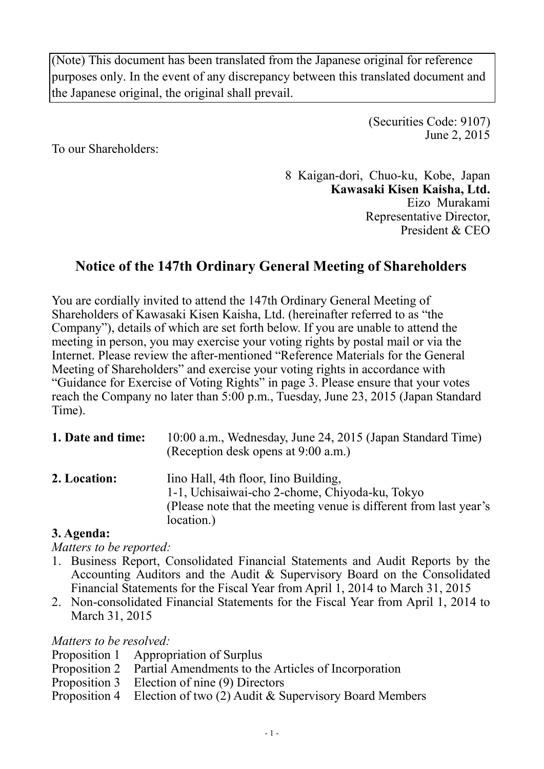(Note) This document has been translated from the Japanese original for reference purposes only. In the event of any discrepancy between this translated document and the Japanese original, the original shall prevail.

> (Securities Code: 9107) June 2, 2015

To our Shareholders:

8 Kaigan-dori, Chuo-ku, Kobe, Japan **Kawasaki Kisen Kaisha, Ltd.**  Eizo Murakami Representative Director, President & CEO

# **Notice of the 147th Ordinary General Meeting of Shareholders**

You are cordially invited to attend the 147th Ordinary General Meeting of Shareholders of Kawasaki Kisen Kaisha, Ltd. (hereinafter referred to as "the Company"), details of which are set forth below. If you are unable to attend the meeting in person, you may exercise your voting rights by postal mail or via the Internet. Please review the after-mentioned "Reference Materials for the General Meeting of Shareholders" and exercise your voting rights in accordance with "Guidance for Exercise of Voting Rights" in page 3. Please ensure that your votes reach the Company no later than 5:00 p.m., Tuesday, June 23, 2015 (Japan Standard Time).

| 1. Date and time: | 10:00 a.m., Wednesday, June 24, 2015 (Japan Standard Time)<br>(Reception desk opens at 9:00 a.m.)                                                                         |
|-------------------|---------------------------------------------------------------------------------------------------------------------------------------------------------------------------|
| 2. Location:      | lino Hall, 4th floor, Iino Building,<br>1-1, Uchisaiwai-cho 2-chome, Chiyoda-ku, Tokyo<br>(Please note that the meeting venue is different from last year's<br>location.) |

### **3. Agenda:**

*Matters to be reported:* 

- 1. Business Report, Consolidated Financial Statements and Audit Reports by the Accounting Auditors and the Audit & Supervisory Board on the Consolidated Financial Statements for the Fiscal Year from April 1, 2014 to March 31, 2015
- 2. Non-consolidated Financial Statements for the Fiscal Year from April 1, 2014 to March 31, 2015

*Matters to be resolved:* 

- Proposition 1 Appropriation of Surplus
- Proposition 2 Partial Amendments to the Articles of Incorporation
- Proposition 3 Election of nine (9) Directors
- Proposition 4 Election of two (2) Audit & Supervisory Board Members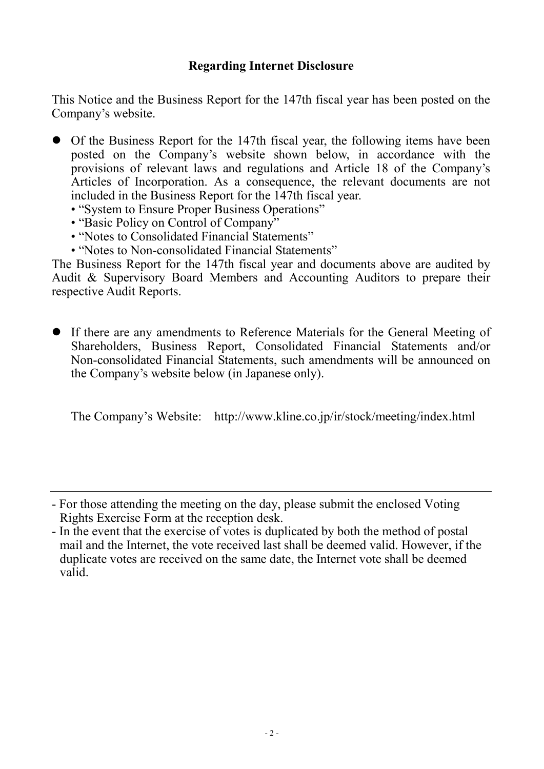### **Regarding Internet Disclosure**

This Notice and the Business Report for the 147th fiscal year has been posted on the Company's website.

- Of the Business Report for the 147th fiscal year, the following items have been posted on the Company's website shown below, in accordance with the provisions of relevant laws and regulations and Article 18 of the Company's Articles of Incorporation. As a consequence, the relevant documents are not included in the Business Report for the 147th fiscal year.
	- "System to Ensure Proper Business Operations"
	- "Basic Policy on Control of Company"
	- "Notes to Consolidated Financial Statements"
	- "Notes to Non-consolidated Financial Statements"

The Business Report for the 147th fiscal year and documents above are audited by Audit & Supervisory Board Members and Accounting Auditors to prepare their respective Audit Reports.

 If there are any amendments to Reference Materials for the General Meeting of Shareholders, Business Report, Consolidated Financial Statements and/or Non-consolidated Financial Statements, such amendments will be announced on the Company's website below (in Japanese only).

The Company's Website: http://www.kline.co.jp/ir/stock/meeting/index.html

<sup>-</sup> For those attending the meeting on the day, please submit the enclosed Voting Rights Exercise Form at the reception desk.

<sup>-</sup> In the event that the exercise of votes is duplicated by both the method of postal mail and the Internet, the vote received last shall be deemed valid. However, if the duplicate votes are received on the same date, the Internet vote shall be deemed valid.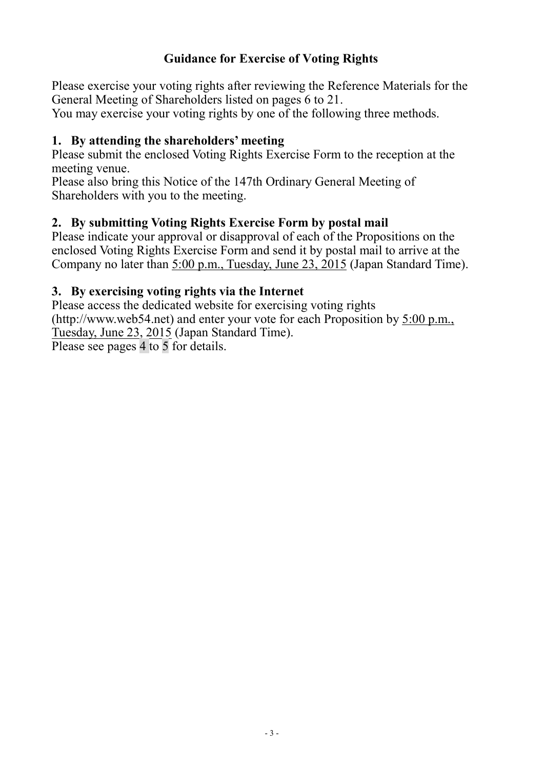### **Guidance for Exercise of Voting Rights**

Please exercise your voting rights after reviewing the Reference Materials for the General Meeting of Shareholders listed on pages 6 to 21.

You may exercise your voting rights by one of the following three methods.

### **1. By attending the shareholders' meeting**

Please submit the enclosed Voting Rights Exercise Form to the reception at the meeting venue.

Please also bring this Notice of the 147th Ordinary General Meeting of Shareholders with you to the meeting.

### **2. By submitting Voting Rights Exercise Form by postal mail**

Please indicate your approval or disapproval of each of the Propositions on the enclosed Voting Rights Exercise Form and send it by postal mail to arrive at the Company no later than 5:00 p.m., Tuesday, June 23, 2015 (Japan Standard Time).

### **3. By exercising voting rights via the Internet**

Please access the dedicated website for exercising voting rights (http://www.web54.net) and enter your vote for each Proposition by 5:00 p.m., Tuesday, June 23, 2015 (Japan Standard Time). Please see pages 4 to 5 for details.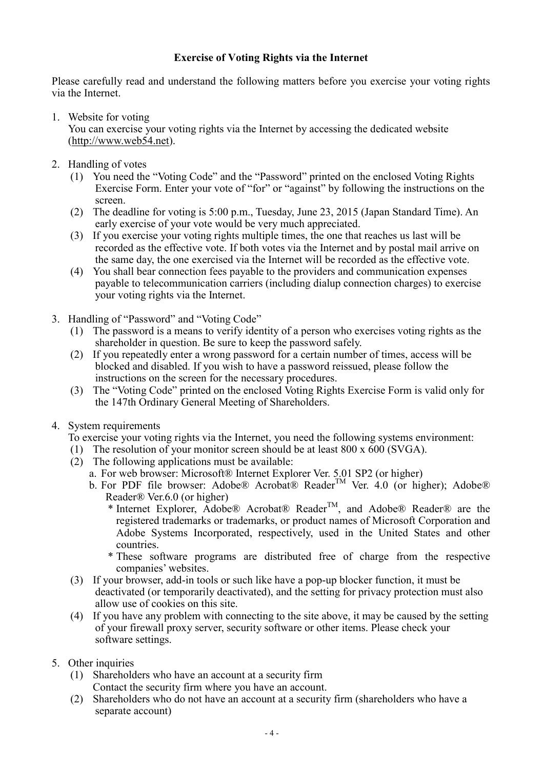#### **Exercise of Voting Rights via the Internet**

Please carefully read and understand the following matters before you exercise your voting rights via the Internet.

1. Website for voting

You can exercise your voting rights via the Internet by accessing the dedicated website (http://www.web54.net).

- 2. Handling of votes
	- (1) You need the "Voting Code" and the "Password" printed on the enclosed Voting Rights Exercise Form. Enter your vote of "for" or "against" by following the instructions on the screen.
	- (2) The deadline for voting is 5:00 p.m., Tuesday, June 23, 2015 (Japan Standard Time). An early exercise of your vote would be very much appreciated.
	- (3) If you exercise your voting rights multiple times, the one that reaches us last will be recorded as the effective vote. If both votes via the Internet and by postal mail arrive on the same day, the one exercised via the Internet will be recorded as the effective vote.
	- (4) You shall bear connection fees payable to the providers and communication expenses payable to telecommunication carriers (including dialup connection charges) to exercise your voting rights via the Internet.
- 3. Handling of "Password" and "Voting Code"
	- (1) The password is a means to verify identity of a person who exercises voting rights as the shareholder in question. Be sure to keep the password safely.
	- (2) If you repeatedly enter a wrong password for a certain number of times, access will be blocked and disabled. If you wish to have a password reissued, please follow the instructions on the screen for the necessary procedures.
	- (3) The "Voting Code" printed on the enclosed Voting Rights Exercise Form is valid only for the 147th Ordinary General Meeting of Shareholders.
- 4. System requirements

To exercise your voting rights via the Internet, you need the following systems environment:

- (1) The resolution of your monitor screen should be at least 800 x 600 (SVGA).
- $(2)$  The following applications must be available:
	- a. For web browser: Microsoft® Internet Explorer Ver. 5.01 SP2 (or higher)
	- b. For PDF file browser: Adobe® Acrobat® Reader<sup>TM</sup> Ver. 4.0 (or higher); Adobe® Reader® Ver.6.0 (or higher)
		- \* Internet Explorer, Adobe® Acrobat® Reader<sup>TM</sup>, and Adobe® Reader® are the registered trademarks or trademarks, or product names of Microsoft Corporation and Adobe Systems Incorporated, respectively, used in the United States and other countries.
		- \* These software programs are distributed free of charge from the respective companies' websites.
- (3) If your browser, add-in tools or such like have a pop-up blocker function, it must be deactivated (or temporarily deactivated), and the setting for privacy protection must also allow use of cookies on this site.
- (4) If you have any problem with connecting to the site above, it may be caused by the setting of your firewall proxy server, security software or other items. Please check your software settings.
- 5. Other inquiries
	- (1) Shareholders who have an account at a security firm Contact the security firm where you have an account.
	- (2) Shareholders who do not have an account at a security firm (shareholders who have a separate account)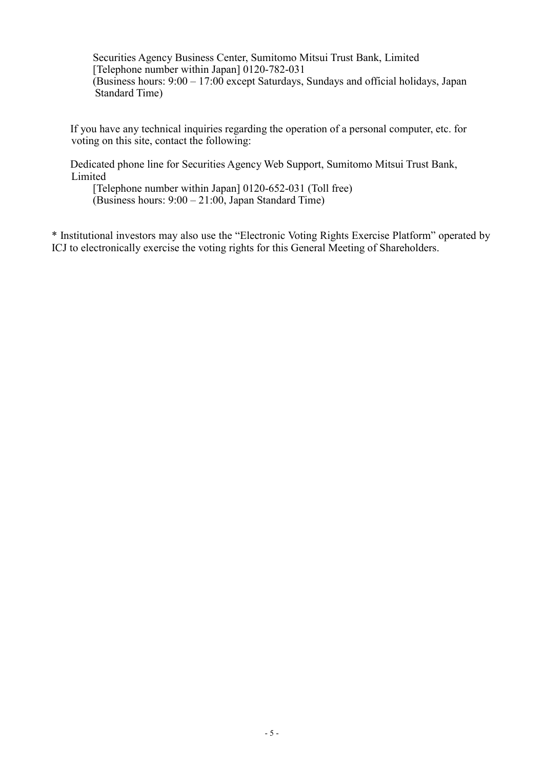Securities Agency Business Center, Sumitomo Mitsui Trust Bank, Limited [Telephone number within Japan] 0120-782-031 (Business hours: 9:00 – 17:00 except Saturdays, Sundays and official holidays, Japan Standard Time)

If you have any technical inquiries regarding the operation of a personal computer, etc. for voting on this site, contact the following:

Dedicated phone line for Securities Agency Web Support, Sumitomo Mitsui Trust Bank, Limited

[Telephone number within Japan] 0120-652-031 (Toll free) (Business hours: 9:00 – 21:00, Japan Standard Time)

\* Institutional investors may also use the "Electronic Voting Rights Exercise Platform" operated by ICJ to electronically exercise the voting rights for this General Meeting of Shareholders.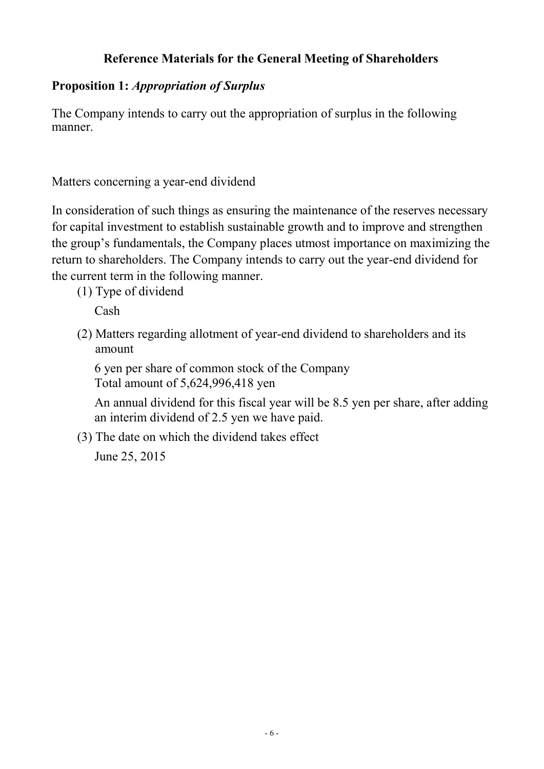## **Reference Materials for the General Meeting of Shareholders**

## **Proposition 1:** *Appropriation of Surplus*

The Company intends to carry out the appropriation of surplus in the following manner.

Matters concerning a year-end dividend

In consideration of such things as ensuring the maintenance of the reserves necessary for capital investment to establish sustainable growth and to improve and strengthen the group's fundamentals, the Company places utmost importance on maximizing the return to shareholders. The Company intends to carry out the year-end dividend for the current term in the following manner.

(1) Type of dividend

Cash

(2) Matters regarding allotment of year-end dividend to shareholders and its amount

6 yen per share of common stock of the Company Total amount of 5,624,996,418 yen

An annual dividend for this fiscal year will be 8.5 yen per share, after adding an interim dividend of 2.5 yen we have paid.

(3) The date on which the dividend takes effect

June 25, 2015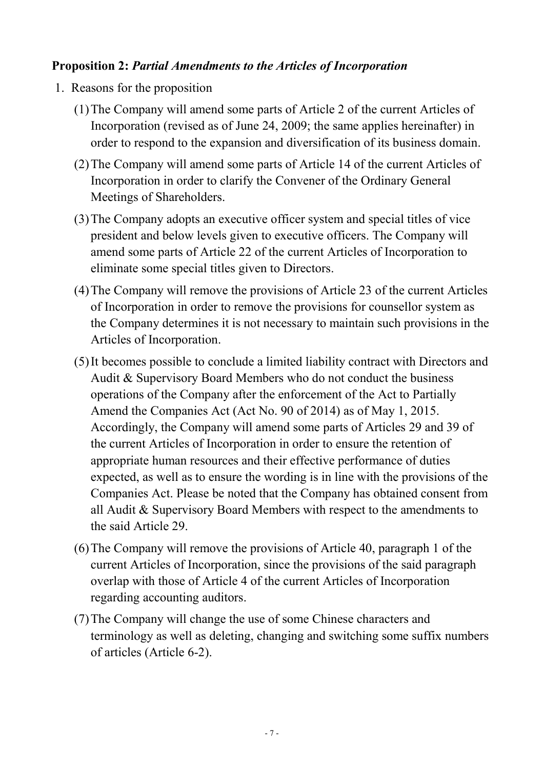### **Proposition 2:** *Partial Amendments to the Articles of Incorporation*

- 1. Reasons for the proposition
	- (1)The Company will amend some parts of Article 2 of the current Articles of Incorporation (revised as of June 24, 2009; the same applies hereinafter) in order to respond to the expansion and diversification of its business domain.
	- (2)The Company will amend some parts of Article 14 of the current Articles of Incorporation in order to clarify the Convener of the Ordinary General Meetings of Shareholders.
	- (3)The Company adopts an executive officer system and special titles of vice president and below levels given to executive officers. The Company will amend some parts of Article 22 of the current Articles of Incorporation to eliminate some special titles given to Directors.
	- (4)The Company will remove the provisions of Article 23 of the current Articles of Incorporation in order to remove the provisions for counsellor system as the Company determines it is not necessary to maintain such provisions in the Articles of Incorporation.
	- (5)It becomes possible to conclude a limited liability contract with Directors and Audit & Supervisory Board Members who do not conduct the business operations of the Company after the enforcement of the Act to Partially Amend the Companies Act (Act No. 90 of 2014) as of May 1, 2015. Accordingly, the Company will amend some parts of Articles 29 and 39 of the current Articles of Incorporation in order to ensure the retention of appropriate human resources and their effective performance of duties expected, as well as to ensure the wording is in line with the provisions of the Companies Act. Please be noted that the Company has obtained consent from all Audit & Supervisory Board Members with respect to the amendments to the said Article 29.
	- (6)The Company will remove the provisions of Article 40, paragraph 1 of the current Articles of Incorporation, since the provisions of the said paragraph overlap with those of Article 4 of the current Articles of Incorporation regarding accounting auditors.
	- (7)The Company will change the use of some Chinese characters and terminology as well as deleting, changing and switching some suffix numbers of articles (Article 6-2).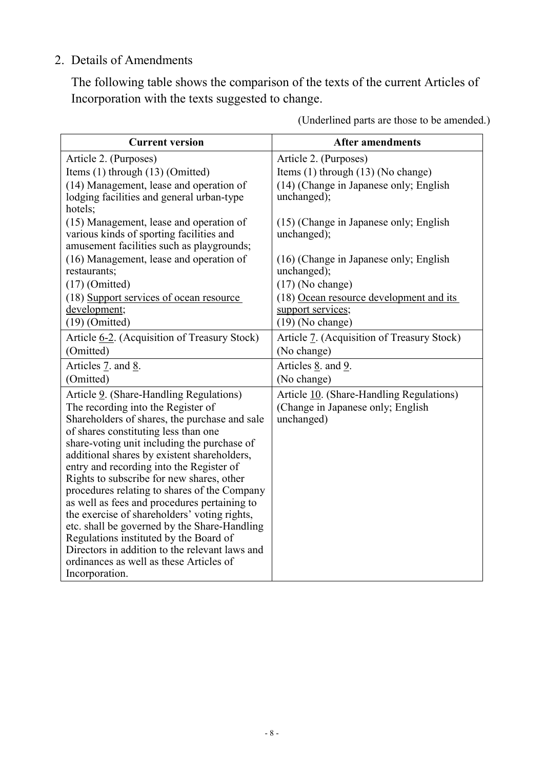## 2. Details of Amendments

The following table shows the comparison of the texts of the current Articles of Incorporation with the texts suggested to change.

| <b>Current version</b>                                                                                                           | <b>After amendments</b>                               |
|----------------------------------------------------------------------------------------------------------------------------------|-------------------------------------------------------|
| Article 2. (Purposes)                                                                                                            | Article 2. (Purposes)                                 |
| Items (1) through (13) (Omitted)                                                                                                 | Items (1) through (13) (No change)                    |
| (14) Management, lease and operation of<br>lodging facilities and general urban-type<br>hotels;                                  | (14) (Change in Japanese only; English<br>unchanged); |
| (15) Management, lease and operation of<br>various kinds of sporting facilities and<br>amusement facilities such as playgrounds; | (15) (Change in Japanese only; English<br>unchanged); |
| (16) Management, lease and operation of<br>restaurants;                                                                          | (16) (Change in Japanese only; English<br>unchanged); |
| $(17)$ (Omitted)                                                                                                                 | $(17)$ (No change)                                    |
| (18) Support services of ocean resource                                                                                          | (18) Ocean resource development and its               |
| development;                                                                                                                     | support services;                                     |
| $(19)$ (Omitted)                                                                                                                 | $(19)$ (No change)                                    |
| Article 6-2. (Acquisition of Treasury Stock)                                                                                     | Article 7. (Acquisition of Treasury Stock)            |
| (Omitted)                                                                                                                        | (No change)                                           |
| Articles 7. and 8.                                                                                                               | Articles <u>8</u> . and 9.                            |
| (Omitted)                                                                                                                        | (No change)                                           |
| Article 9. (Share-Handling Regulations)                                                                                          | Article 10. (Share-Handling Regulations)              |
| The recording into the Register of                                                                                               | (Change in Japanese only; English                     |
| Shareholders of shares, the purchase and sale                                                                                    | unchanged)                                            |
| of shares constituting less than one                                                                                             |                                                       |
| share-voting unit including the purchase of                                                                                      |                                                       |
| additional shares by existent shareholders,                                                                                      |                                                       |
| entry and recording into the Register of<br>Rights to subscribe for new shares, other                                            |                                                       |
| procedures relating to shares of the Company                                                                                     |                                                       |
| as well as fees and procedures pertaining to                                                                                     |                                                       |
| the exercise of shareholders' voting rights,                                                                                     |                                                       |
| etc. shall be governed by the Share-Handling                                                                                     |                                                       |
| Regulations instituted by the Board of                                                                                           |                                                       |
| Directors in addition to the relevant laws and                                                                                   |                                                       |
| ordinances as well as these Articles of                                                                                          |                                                       |
| Incorporation.                                                                                                                   |                                                       |

(Underlined parts are those to be amended.)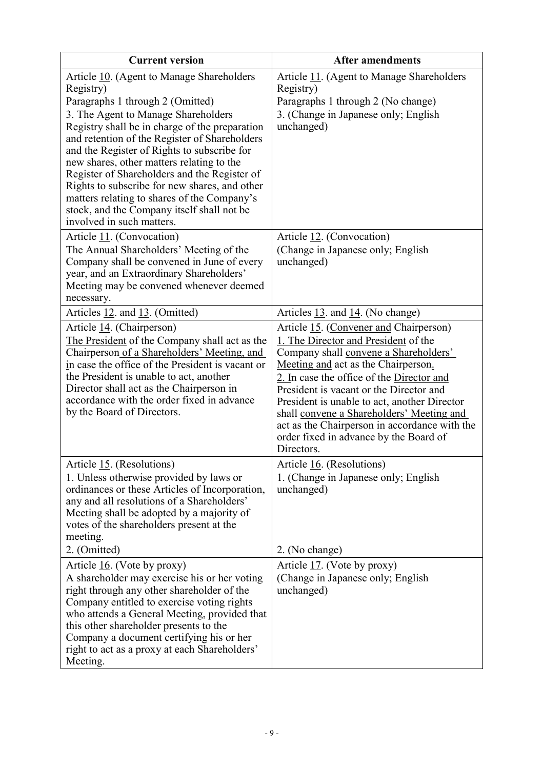| <b>Current version</b>                                                                                                                                                                                                                                                                                                                                                                                                                                                                                                                                      | <b>After amendments</b>                                                                                                                                                                                                                                                                                                                                                                                                                                     |
|-------------------------------------------------------------------------------------------------------------------------------------------------------------------------------------------------------------------------------------------------------------------------------------------------------------------------------------------------------------------------------------------------------------------------------------------------------------------------------------------------------------------------------------------------------------|-------------------------------------------------------------------------------------------------------------------------------------------------------------------------------------------------------------------------------------------------------------------------------------------------------------------------------------------------------------------------------------------------------------------------------------------------------------|
| Article 10. (Agent to Manage Shareholders<br>Registry)<br>Paragraphs 1 through 2 (Omitted)<br>3. The Agent to Manage Shareholders<br>Registry shall be in charge of the preparation<br>and retention of the Register of Shareholders<br>and the Register of Rights to subscribe for<br>new shares, other matters relating to the<br>Register of Shareholders and the Register of<br>Rights to subscribe for new shares, and other<br>matters relating to shares of the Company's<br>stock, and the Company itself shall not be<br>involved in such matters. | Article 11. (Agent to Manage Shareholders<br>Registry)<br>Paragraphs 1 through 2 (No change)<br>3. (Change in Japanese only; English<br>unchanged)                                                                                                                                                                                                                                                                                                          |
| Article 11. (Convocation)<br>The Annual Shareholders' Meeting of the<br>Company shall be convened in June of every<br>year, and an Extraordinary Shareholders'<br>Meeting may be convened whenever deemed<br>necessary.                                                                                                                                                                                                                                                                                                                                     | Article 12. (Convocation)<br>(Change in Japanese only; English<br>unchanged)                                                                                                                                                                                                                                                                                                                                                                                |
| Articles 12. and 13. (Omitted)                                                                                                                                                                                                                                                                                                                                                                                                                                                                                                                              | Articles 13. and 14. (No change)                                                                                                                                                                                                                                                                                                                                                                                                                            |
| Article 14. (Chairperson)<br>The President of the Company shall act as the<br>Chairperson of a Shareholders' Meeting, and<br>in case the office of the President is vacant or<br>the President is unable to act, another<br>Director shall act as the Chairperson in<br>accordance with the order fixed in advance<br>by the Board of Directors.                                                                                                                                                                                                            | Article 15. (Convener and Chairperson)<br>1. The Director and President of the<br>Company shall convene a Shareholders'<br>Meeting and act as the Chairperson.<br>2. In case the office of the Director and<br>President is vacant or the Director and<br>President is unable to act, another Director<br>shall convene a Shareholders' Meeting and<br>act as the Chairperson in accordance with the<br>order fixed in advance by the Board of<br>Directors |
| Article 15. (Resolutions)<br>1. Unless otherwise provided by laws or<br>ordinances or these Articles of Incorporation,<br>any and all resolutions of a Shareholders'<br>Meeting shall be adopted by a majority of<br>votes of the shareholders present at the<br>meeting.<br>2. (Omitted)                                                                                                                                                                                                                                                                   | Article 16. (Resolutions)<br>1. (Change in Japanese only; English<br>unchanged)<br>2. (No change)                                                                                                                                                                                                                                                                                                                                                           |
| Article $16$ . (Vote by proxy)<br>A shareholder may exercise his or her voting<br>right through any other shareholder of the<br>Company entitled to exercise voting rights<br>who attends a General Meeting, provided that<br>this other shareholder presents to the<br>Company a document certifying his or her<br>right to act as a proxy at each Shareholders'<br>Meeting.                                                                                                                                                                               | Article $17.$ (Vote by proxy)<br>(Change in Japanese only; English<br>unchanged)                                                                                                                                                                                                                                                                                                                                                                            |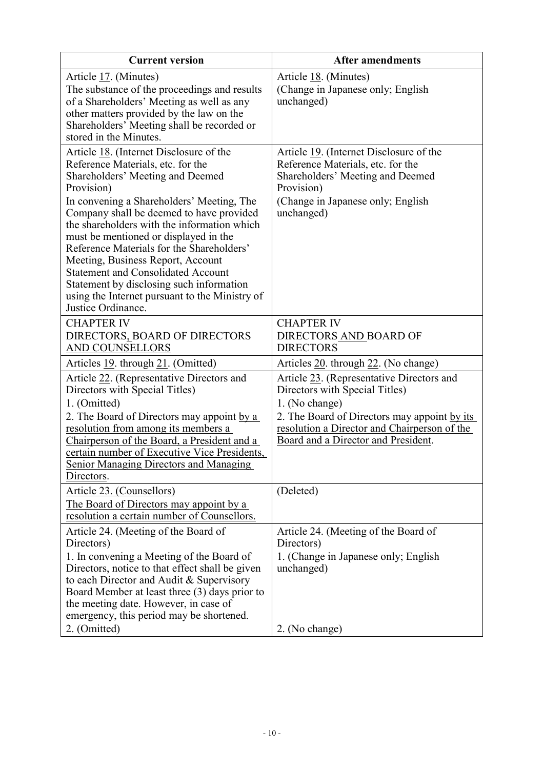| <b>Current version</b>                                                                                                                                                                                                                                                                                                                                                                                                                                                                                                                                             | <b>After amendments</b>                                                                                                                                                                                                              |
|--------------------------------------------------------------------------------------------------------------------------------------------------------------------------------------------------------------------------------------------------------------------------------------------------------------------------------------------------------------------------------------------------------------------------------------------------------------------------------------------------------------------------------------------------------------------|--------------------------------------------------------------------------------------------------------------------------------------------------------------------------------------------------------------------------------------|
| Article 17. (Minutes)<br>The substance of the proceedings and results<br>of a Shareholders' Meeting as well as any<br>other matters provided by the law on the<br>Shareholders' Meeting shall be recorded or<br>stored in the Minutes.                                                                                                                                                                                                                                                                                                                             | Article 18. (Minutes)<br>(Change in Japanese only; English<br>unchanged)                                                                                                                                                             |
| Article 18. (Internet Disclosure of the<br>Reference Materials, etc. for the<br>Shareholders' Meeting and Deemed<br>Provision)<br>In convening a Shareholders' Meeting, The<br>Company shall be deemed to have provided<br>the shareholders with the information which<br>must be mentioned or displayed in the<br>Reference Materials for the Shareholders'<br>Meeting, Business Report, Account<br><b>Statement and Consolidated Account</b><br>Statement by disclosing such information<br>using the Internet pursuant to the Ministry of<br>Justice Ordinance. | Article 19. (Internet Disclosure of the<br>Reference Materials, etc. for the<br>Shareholders' Meeting and Deemed<br>Provision)<br>(Change in Japanese only; English<br>unchanged)                                                    |
| <b>CHAPTER IV</b><br>DIRECTORS_BOARD OF DIRECTORS<br>AND COUNSELLORS                                                                                                                                                                                                                                                                                                                                                                                                                                                                                               | <b>CHAPTER IV</b><br>DIRECTORS AND BOARD OF<br><b>DIRECTORS</b>                                                                                                                                                                      |
| Articles 19. through 21. (Omitted)                                                                                                                                                                                                                                                                                                                                                                                                                                                                                                                                 | Articles 20. through 22. (No change)                                                                                                                                                                                                 |
| Article 22. (Representative Directors and<br>Directors with Special Titles)<br>1. (Omitted)<br>2. The Board of Directors may appoint by a<br>resolution from among its members a<br>Chairperson of the Board, a President and a<br>certain number of Executive Vice Presidents,<br><b>Senior Managing Directors and Managing</b><br>Directors.                                                                                                                                                                                                                     | Article 23. (Representative Directors and<br>Directors with Special Titles)<br>1. (No change)<br>2. The Board of Directors may appoint by its<br>resolution a Director and Chairperson of the<br>Board and a Director and President. |
| Article 23. (Counsellors)<br>The Board of Directors may appoint by a<br>resolution a certain number of Counsellors.                                                                                                                                                                                                                                                                                                                                                                                                                                                | (Deleted)                                                                                                                                                                                                                            |
| Article 24. (Meeting of the Board of<br>Directors)<br>1. In convening a Meeting of the Board of<br>Directors, notice to that effect shall be given<br>to each Director and Audit & Supervisory<br>Board Member at least three (3) days prior to<br>the meeting date. However, in case of<br>emergency, this period may be shortened.<br>2. (Omitted)                                                                                                                                                                                                               | Article 24. (Meeting of the Board of<br>Directors)<br>1. (Change in Japanese only; English<br>unchanged)                                                                                                                             |
|                                                                                                                                                                                                                                                                                                                                                                                                                                                                                                                                                                    | 2. (No change)                                                                                                                                                                                                                       |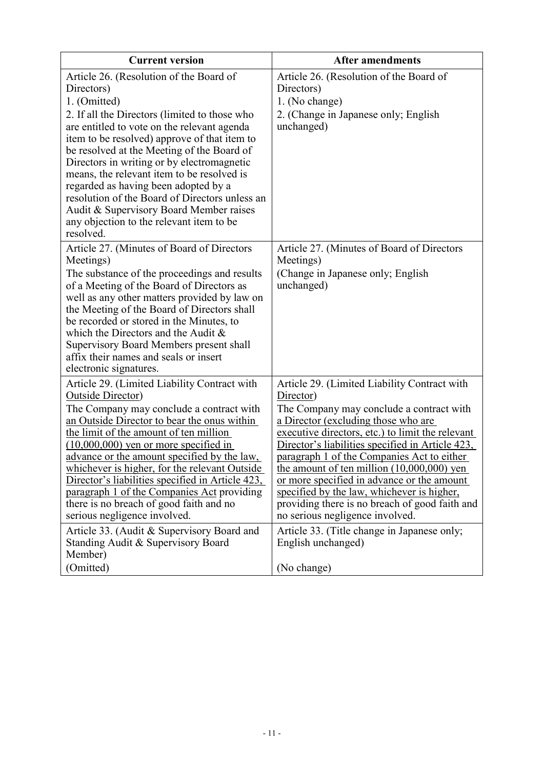| <b>Current version</b>                                                                                                                                                                                                                                                                                                                                                                                                                                                                                                                                        | <b>After amendments</b>                                                                                                                                                                                                                                                                                                                                                                                                                                                                                                             |
|---------------------------------------------------------------------------------------------------------------------------------------------------------------------------------------------------------------------------------------------------------------------------------------------------------------------------------------------------------------------------------------------------------------------------------------------------------------------------------------------------------------------------------------------------------------|-------------------------------------------------------------------------------------------------------------------------------------------------------------------------------------------------------------------------------------------------------------------------------------------------------------------------------------------------------------------------------------------------------------------------------------------------------------------------------------------------------------------------------------|
| Article 26. (Resolution of the Board of<br>Directors)<br>1. (Omitted)<br>2. If all the Directors (limited to those who<br>are entitled to vote on the relevant agenda<br>item to be resolved) approve of that item to<br>be resolved at the Meeting of the Board of<br>Directors in writing or by electromagnetic<br>means, the relevant item to be resolved is<br>regarded as having been adopted by a<br>resolution of the Board of Directors unless an<br>Audit & Supervisory Board Member raises<br>any objection to the relevant item to be<br>resolved. | Article 26. (Resolution of the Board of<br>Directors)<br>1. (No change)<br>2. (Change in Japanese only; English<br>unchanged)                                                                                                                                                                                                                                                                                                                                                                                                       |
| Article 27. (Minutes of Board of Directors<br>Meetings)<br>The substance of the proceedings and results<br>of a Meeting of the Board of Directors as<br>well as any other matters provided by law on<br>the Meeting of the Board of Directors shall<br>be recorded or stored in the Minutes, to<br>which the Directors and the Audit $\&$<br>Supervisory Board Members present shall<br>affix their names and seals or insert<br>electronic signatures.                                                                                                       | Article 27. (Minutes of Board of Directors<br>Meetings)<br>(Change in Japanese only; English<br>unchanged)                                                                                                                                                                                                                                                                                                                                                                                                                          |
| Article 29. (Limited Liability Contract with<br><b>Outside Director</b> )<br>The Company may conclude a contract with<br>an Outside Director to bear the onus within<br>the limit of the amount of ten million<br>$(10,000,000)$ yen or more specified in<br>advance or the amount specified by the law,<br>whichever is higher, for the relevant Outside<br>Director's liabilities specified in Article 423,<br>paragraph 1 of the Companies Act providing<br>there is no breach of good faith and no<br>serious negligence involved.                        | Article 29. (Limited Liability Contract with<br>Director)<br>The Company may conclude a contract with<br>a Director (excluding those who are<br>executive directors, etc.) to limit the relevant<br>Director's liabilities specified in Article 423,<br>paragraph 1 of the Companies Act to either<br>the amount of ten million $(10,000,000)$ yen<br>or more specified in advance or the amount<br>specified by the law, whichever is higher,<br>providing there is no breach of good faith and<br>no serious negligence involved. |
| Article 33. (Audit & Supervisory Board and<br>Standing Audit & Supervisory Board<br>Member)<br>(Omitted)                                                                                                                                                                                                                                                                                                                                                                                                                                                      | Article 33. (Title change in Japanese only;<br>English unchanged)<br>(No change)                                                                                                                                                                                                                                                                                                                                                                                                                                                    |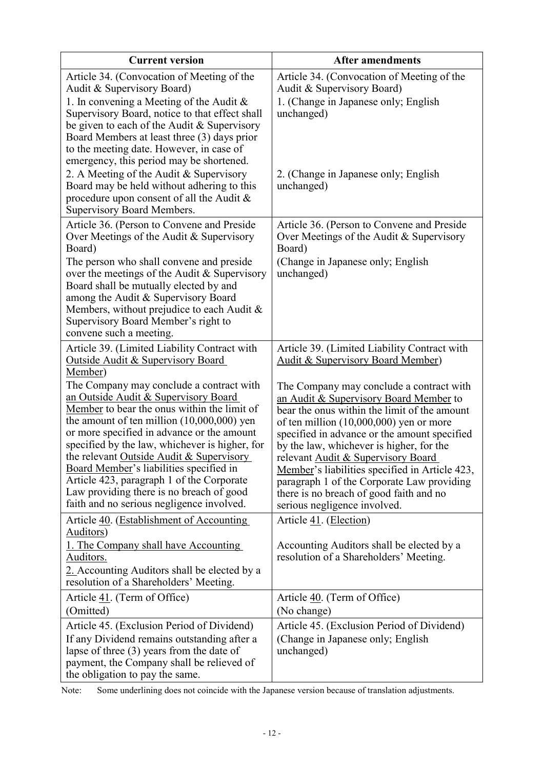| <b>Current version</b>                                                                                                                                                                                                                                                                                                                                                                                                                                                                                       | <b>After amendments</b>                                                                                                                                                                                                                                                                                                                                                                                                                                                                      |
|--------------------------------------------------------------------------------------------------------------------------------------------------------------------------------------------------------------------------------------------------------------------------------------------------------------------------------------------------------------------------------------------------------------------------------------------------------------------------------------------------------------|----------------------------------------------------------------------------------------------------------------------------------------------------------------------------------------------------------------------------------------------------------------------------------------------------------------------------------------------------------------------------------------------------------------------------------------------------------------------------------------------|
| Article 34. (Convocation of Meeting of the<br>Audit & Supervisory Board)                                                                                                                                                                                                                                                                                                                                                                                                                                     | Article 34. (Convocation of Meeting of the<br>Audit & Supervisory Board)                                                                                                                                                                                                                                                                                                                                                                                                                     |
| 1. In convening a Meeting of the Audit $\&$<br>Supervisory Board, notice to that effect shall<br>be given to each of the Audit & Supervisory<br>Board Members at least three (3) days prior<br>to the meeting date. However, in case of<br>emergency, this period may be shortened.                                                                                                                                                                                                                          | 1. (Change in Japanese only; English<br>unchanged)                                                                                                                                                                                                                                                                                                                                                                                                                                           |
| 2. A Meeting of the Audit & Supervisory<br>Board may be held without adhering to this<br>procedure upon consent of all the Audit $\&$<br>Supervisory Board Members.                                                                                                                                                                                                                                                                                                                                          | 2. (Change in Japanese only; English<br>unchanged)                                                                                                                                                                                                                                                                                                                                                                                                                                           |
| Article 36. (Person to Convene and Preside<br>Over Meetings of the Audit & Supervisory<br>Board)<br>The person who shall convene and preside.                                                                                                                                                                                                                                                                                                                                                                | Article 36. (Person to Convene and Preside<br>Over Meetings of the Audit & Supervisory<br>Board)<br>(Change in Japanese only; English                                                                                                                                                                                                                                                                                                                                                        |
| over the meetings of the Audit $&$ Supervisory<br>Board shall be mutually elected by and<br>among the Audit & Supervisory Board<br>Members, without prejudice to each Audit $\&$<br>Supervisory Board Member's right to<br>convene such a meeting.                                                                                                                                                                                                                                                           | unchanged)                                                                                                                                                                                                                                                                                                                                                                                                                                                                                   |
| Article 39. (Limited Liability Contract with<br><b>Outside Audit &amp; Supervisory Board</b><br>Member)                                                                                                                                                                                                                                                                                                                                                                                                      | Article 39. (Limited Liability Contract with<br><b>Audit &amp; Supervisory Board Member)</b>                                                                                                                                                                                                                                                                                                                                                                                                 |
| The Company may conclude a contract with<br>an Outside Audit & Supervisory Board<br>Member to bear the onus within the limit of<br>the amount of ten million $(10,000,000)$ yen<br>or more specified in advance or the amount<br>specified by the law, whichever is higher, for<br>the relevant Outside Audit & Supervisory<br>Board Member's liabilities specified in<br>Article 423, paragraph 1 of the Corporate<br>Law providing there is no breach of good<br>faith and no serious negligence involved. | The Company may conclude a contract with<br>an Audit & Supervisory Board Member to<br>bear the onus within the limit of the amount<br>of ten million $(10,000,000)$ yen or more<br>specified in advance or the amount specified<br>by the law, whichever is higher, for the<br>relevant Audit & Supervisory Board<br>Member's liabilities specified in Article 423,<br>paragraph 1 of the Corporate Law providing<br>there is no breach of good faith and no<br>serious negligence involved. |
| Article 40. (Establishment of Accounting<br>Auditors)<br>1. The Company shall have Accounting                                                                                                                                                                                                                                                                                                                                                                                                                | Article 41. (Election)<br>Accounting Auditors shall be elected by a                                                                                                                                                                                                                                                                                                                                                                                                                          |
| Auditors.<br>2. Accounting Auditors shall be elected by a<br>resolution of a Shareholders' Meeting.                                                                                                                                                                                                                                                                                                                                                                                                          | resolution of a Shareholders' Meeting.                                                                                                                                                                                                                                                                                                                                                                                                                                                       |
| Article 41. (Term of Office)<br>(Omitted)                                                                                                                                                                                                                                                                                                                                                                                                                                                                    | Article 40. (Term of Office)<br>(No change)                                                                                                                                                                                                                                                                                                                                                                                                                                                  |
| Article 45. (Exclusion Period of Dividend)                                                                                                                                                                                                                                                                                                                                                                                                                                                                   | Article 45. (Exclusion Period of Dividend)                                                                                                                                                                                                                                                                                                                                                                                                                                                   |
| If any Dividend remains outstanding after a<br>lapse of three $(3)$ years from the date of<br>payment, the Company shall be relieved of<br>the obligation to pay the same.                                                                                                                                                                                                                                                                                                                                   | (Change in Japanese only; English<br>unchanged)                                                                                                                                                                                                                                                                                                                                                                                                                                              |

Note: Some underlining does not coincide with the Japanese version because of translation adjustments.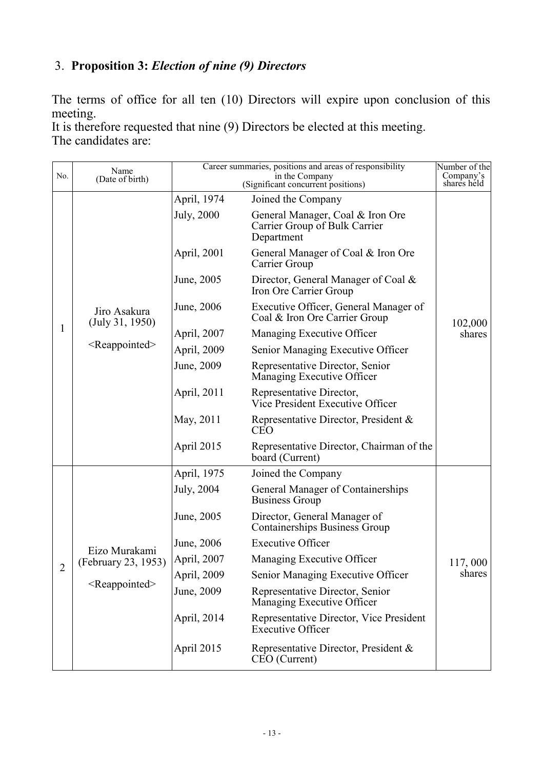## 3. **Proposition 3:** *Election of nine (9) Directors*

The terms of office for all ten (10) Directors will expire upon conclusion of this meeting.

It is therefore requested that nine (9) Directors be elected at this meeting. The candidates are:

| No.            | Name<br>(Date of birth)              | Career summaries, positions and areas of responsibility | Number of the<br>Company's                                                      |             |
|----------------|--------------------------------------|---------------------------------------------------------|---------------------------------------------------------------------------------|-------------|
|                |                                      |                                                         | in the Company<br>(Significant concurrent positions)                            | shares held |
|                |                                      | April, 1974                                             | Joined the Company                                                              |             |
|                |                                      | July, 2000                                              | General Manager, Coal & Iron Ore<br>Carrier Group of Bulk Carrier<br>Department |             |
|                |                                      | April, 2001                                             | General Manager of Coal & Iron Ore<br>Carrier Group                             |             |
|                |                                      | June, 2005                                              | Director, General Manager of Coal &<br>Iron Ore Carrier Group                   |             |
|                | Jiro Asakura<br>(July 31, 1950)      | June, 2006                                              | Executive Officer, General Manager of<br>Coal & Iron Ore Carrier Group          | 102,000     |
| 1              |                                      | April, 2007                                             | Managing Executive Officer                                                      | shares      |
|                | <reappointed></reappointed>          | April, 2009                                             | Senior Managing Executive Officer                                               |             |
|                |                                      | June, 2009                                              | Representative Director, Senior<br>Managing Executive Officer                   |             |
|                |                                      | April, 2011                                             | Representative Director,<br>Vice President Executive Officer                    |             |
|                |                                      | May, 2011                                               | Representative Director, President &<br><b>CEO</b>                              |             |
|                |                                      | April 2015                                              | Representative Director, Chairman of the<br>board (Current)                     |             |
|                |                                      | April, 1975                                             | Joined the Company                                                              |             |
|                |                                      | July, 2004                                              | General Manager of Containerships<br><b>Business Group</b>                      |             |
|                |                                      | June, 2005                                              | Director, General Manager of<br><b>Containerships Business Group</b>            |             |
|                |                                      | June, 2006                                              | <b>Executive Officer</b>                                                        |             |
|                | Eizo Murakami<br>(February 23, 1953) | April, 2007                                             | Managing Executive Officer                                                      | 117,000     |
| $\overline{c}$ |                                      | April, 2009                                             | Senior Managing Executive Officer                                               | shares      |
|                | <reappointed></reappointed>          | June, 2009                                              | Representative Director, Senior<br>Managing Executive Officer                   |             |
|                |                                      | April, 2014                                             | Representative Director, Vice President<br><b>Executive Officer</b>             |             |
|                |                                      | April 2015                                              | Representative Director, President &<br>CEO (Current)                           |             |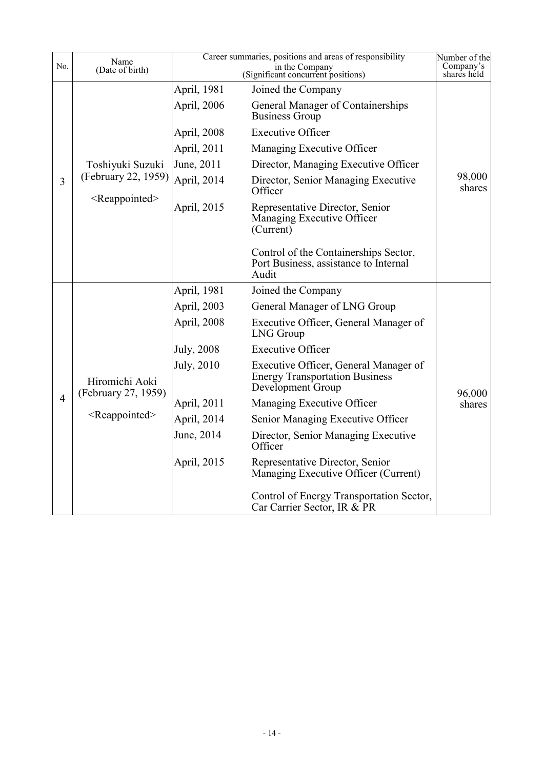| No.            | Name                                  |                    | Career summaries, positions and areas of responsibility                                             | Number of the            |
|----------------|---------------------------------------|--------------------|-----------------------------------------------------------------------------------------------------|--------------------------|
|                | (Date of birth)                       |                    | in the Company<br>(Significant concurrent positions)                                                | Company's<br>shares held |
|                |                                       | April, 1981        | Joined the Company                                                                                  |                          |
|                |                                       | April, 2006        | General Manager of Containerships<br><b>Business Group</b>                                          |                          |
|                |                                       | April, 2008        | <b>Executive Officer</b>                                                                            |                          |
|                |                                       | April, 2011        | Managing Executive Officer                                                                          |                          |
|                | Toshiyuki Suzuki                      | June, 2011         | Director, Managing Executive Officer                                                                |                          |
| 3              | (February 22, 1959)                   | April, 2014        | Director, Senior Managing Executive<br>Officer                                                      | 98,000<br>shares         |
|                | <reappointed></reappointed>           | April, 2015        | Representative Director, Senior<br>Managing Executive Officer<br>(Current)                          |                          |
|                |                                       |                    | Control of the Containerships Sector,<br>Port Business, assistance to Internal<br>Audit             |                          |
|                |                                       | April, 1981        | Joined the Company                                                                                  |                          |
|                | Hiromichi Aoki<br>(February 27, 1959) | April, 2003        | General Manager of LNG Group                                                                        |                          |
|                |                                       | April, 2008        | Executive Officer, General Manager of<br><b>LNG</b> Group                                           |                          |
|                |                                       | <b>July</b> , 2008 | <b>Executive Officer</b>                                                                            |                          |
|                |                                       | July, 2010         | Executive Officer, General Manager of<br><b>Energy Transportation Business</b><br>Development Group | 96,000                   |
| $\overline{4}$ |                                       | April, 2011        | Managing Executive Officer                                                                          | shares                   |
|                | $<$ Reappointed $>$                   | April, 2014        | Senior Managing Executive Officer                                                                   |                          |
|                |                                       | June, 2014         | Director, Senior Managing Executive<br>Officer                                                      |                          |
|                |                                       | April, 2015        | Representative Director, Senior<br>Managing Executive Officer (Current)                             |                          |
|                |                                       |                    | Control of Energy Transportation Sector,<br>Car Carrier Sector, IR & PR                             |                          |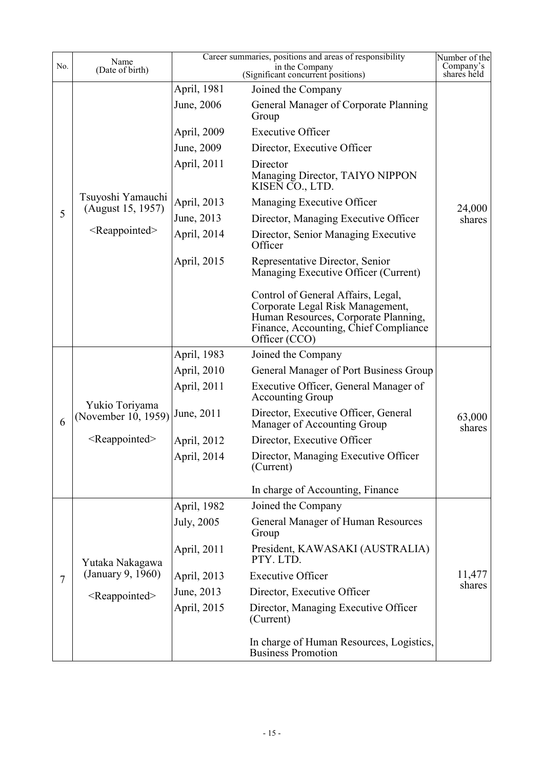|                | Name                                   |             | Career summaries, positions and areas of responsibility<br>in the Company                                                                                                | Number of the    |
|----------------|----------------------------------------|-------------|--------------------------------------------------------------------------------------------------------------------------------------------------------------------------|------------------|
| No.            | (Date of birth)                        |             | Company's<br>shares held                                                                                                                                                 |                  |
|                |                                        | April, 1981 | Joined the Company                                                                                                                                                       |                  |
|                |                                        | June, 2006  | General Manager of Corporate Planning<br>Group                                                                                                                           |                  |
|                |                                        | April, 2009 | <b>Executive Officer</b>                                                                                                                                                 |                  |
|                |                                        | June, 2009  | Director, Executive Officer                                                                                                                                              |                  |
|                |                                        | April, 2011 | Director<br>Managing Director, TAIYO NIPPON<br>KISEN CO., LTD.                                                                                                           |                  |
|                | Tsuyoshi Yamauchi<br>(August 15, 1957) | April, 2013 | Managing Executive Officer                                                                                                                                               | 24,000           |
| 5              |                                        | June, 2013  | Director, Managing Executive Officer                                                                                                                                     | shares           |
|                | <reappointed></reappointed>            | April, 2014 | Director, Senior Managing Executive<br>Officer                                                                                                                           |                  |
|                |                                        | April, 2015 | Representative Director, Senior<br>Managing Executive Officer (Current)                                                                                                  |                  |
|                |                                        |             | Control of General Affairs, Legal,<br>Corporate Legal Risk Management,<br>Human Resources, Corporate Planning,<br>Finance, Accounting, Chief Compliance<br>Officer (CCO) |                  |
|                |                                        | April, 1983 | Joined the Company                                                                                                                                                       |                  |
|                |                                        | April, 2010 | General Manager of Port Business Group                                                                                                                                   |                  |
|                | Yukio Toriyama                         | April, 2011 | Executive Officer, General Manager of<br><b>Accounting Group</b>                                                                                                         |                  |
| 6              | (November 10, 1959)                    | June, 2011  | Director, Executive Officer, General<br>Manager of Accounting Group                                                                                                      | 63,000<br>shares |
|                | <reappointed></reappointed>            | April, 2012 | Director, Executive Officer                                                                                                                                              |                  |
|                |                                        | April, 2014 | Director, Managing Executive Officer<br>(Current)                                                                                                                        |                  |
|                |                                        |             | In charge of Accounting, Finance                                                                                                                                         |                  |
|                |                                        | April, 1982 | Joined the Company                                                                                                                                                       |                  |
|                |                                        | July, 2005  | General Manager of Human Resources<br>Group                                                                                                                              |                  |
|                | Yutaka Nakagawa                        | April, 2011 | President, KAWASAKI (AUSTRALIA)<br>PTY. LTD.                                                                                                                             |                  |
| $\overline{7}$ | (January 9, 1960)                      | April, 2013 | <b>Executive Officer</b>                                                                                                                                                 | 11,477           |
|                | <reappointed></reappointed>            | June, 2013  | Director, Executive Officer                                                                                                                                              | shares           |
|                |                                        | April, 2015 | Director, Managing Executive Officer<br>(Current)                                                                                                                        |                  |
|                |                                        |             | In charge of Human Resources, Logistics,<br><b>Business Promotion</b>                                                                                                    |                  |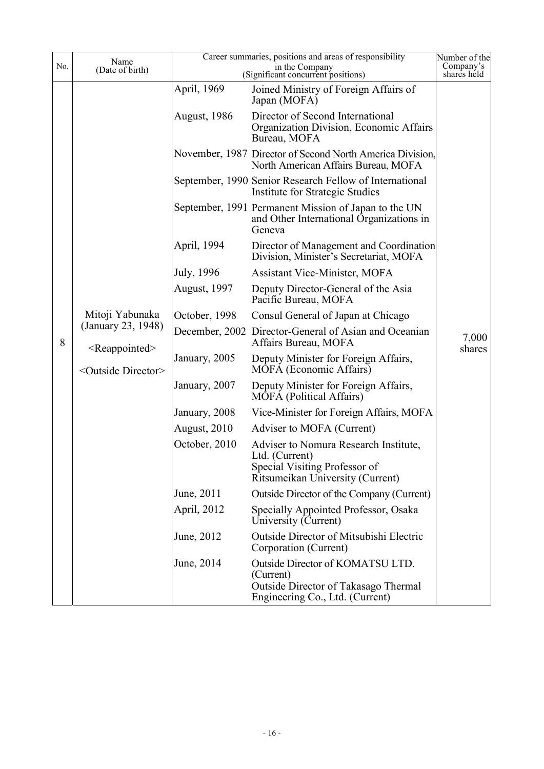| No. | Name<br>(Date of birth)                                                                               |                     | Career summaries, positions and areas of responsibility<br>in the Company                                                    | Number of the<br>Company's<br>shares held |
|-----|-------------------------------------------------------------------------------------------------------|---------------------|------------------------------------------------------------------------------------------------------------------------------|-------------------------------------------|
|     |                                                                                                       | April, 1969         | (Significant concurrent positions)<br>Joined Ministry of Foreign Affairs of<br>Japan (MOFA)                                  |                                           |
|     |                                                                                                       | <b>August, 1986</b> | Director of Second International<br>Organization Division, Economic Affairs<br>Bureau, MOFA                                  |                                           |
|     |                                                                                                       |                     | November, 1987 Director of Second North America Division,<br>North American Affairs Bureau, MOFA                             |                                           |
|     |                                                                                                       |                     | September, 1990 Senior Research Fellow of International<br>Institute for Strategic Studies                                   |                                           |
|     |                                                                                                       |                     | September, 1991 Permanent Mission of Japan to the UN<br>and Other International Organizations in<br>Geneva                   |                                           |
|     |                                                                                                       | April, 1994         | Director of Management and Coordination<br>Division, Minister's Secretariat, MOFA                                            |                                           |
|     |                                                                                                       | July, 1996          | <b>Assistant Vice-Minister, MOFA</b>                                                                                         |                                           |
|     | Mitoji Yabunaka<br>(January 23, 1948)<br>$\leq$ Reappointed $\geq$<br><outside director=""></outside> | <b>August, 1997</b> | Deputy Director-General of the Asia<br>Pacific Bureau, MOFA                                                                  |                                           |
|     |                                                                                                       | October, 1998       | Consul General of Japan at Chicago                                                                                           |                                           |
| 8   |                                                                                                       |                     | December, 2002 Director-General of Asian and Oceanian<br>Affairs Bureau, MOFA                                                | 7,000<br>shares                           |
|     |                                                                                                       | January, 2005       | Deputy Minister for Foreign Affairs,<br><b>MOFA</b> (Economic Affairs)                                                       |                                           |
|     |                                                                                                       | January, 2007       | Deputy Minister for Foreign Affairs,<br><b>MOFA</b> (Political Affairs)                                                      |                                           |
|     |                                                                                                       | January, 2008       | Vice-Minister for Foreign Affairs, MOFA                                                                                      |                                           |
|     |                                                                                                       | August, 2010        | Adviser to MOFA (Current)                                                                                                    |                                           |
|     |                                                                                                       | October, 2010       | Adviser to Nomura Research Institute,<br>Ltd. (Current)<br>Special Visiting Professor of<br>Ritsumeikan University (Current) |                                           |
|     |                                                                                                       | June, 2011          | Outside Director of the Company (Current)                                                                                    |                                           |
|     |                                                                                                       | April, 2012         | Specially Appointed Professor, Osaka<br>University (Current)                                                                 |                                           |
|     |                                                                                                       | June, 2012          | <b>Outside Director of Mitsubishi Electric</b><br>Corporation (Current)                                                      |                                           |
|     |                                                                                                       | June, 2014          | Outside Director of KOMATSU LTD.<br>(Current)<br>Outside Director of Takasago Thermal<br>Engineering Co., Ltd. (Current)     |                                           |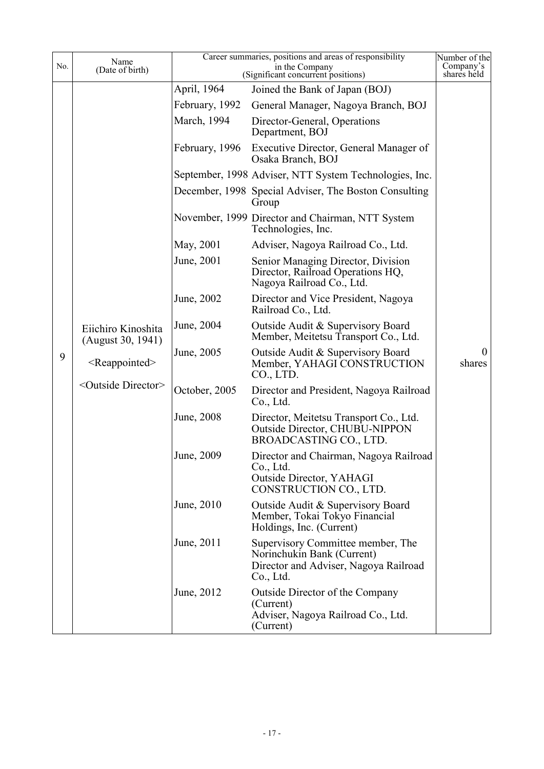| No. | Name<br>(Date of birth)                 |                | Career summaries, positions and areas of responsibility<br>in the Company<br>(Significant concurrent positions)       | Number of the<br>Company's<br>shares held |
|-----|-----------------------------------------|----------------|-----------------------------------------------------------------------------------------------------------------------|-------------------------------------------|
|     |                                         | April, 1964    | Joined the Bank of Japan (BOJ)                                                                                        |                                           |
|     |                                         | February, 1992 | General Manager, Nagoya Branch, BOJ                                                                                   |                                           |
|     |                                         | March, 1994    | Director-General, Operations<br>Department, BOJ                                                                       |                                           |
|     |                                         | February, 1996 | Executive Director, General Manager of<br>Osaka Branch, BOJ                                                           |                                           |
|     |                                         |                | September, 1998 Adviser, NTT System Technologies, Inc.                                                                |                                           |
|     |                                         |                | December, 1998 Special Adviser, The Boston Consulting<br>Group                                                        |                                           |
|     |                                         |                | November, 1999 Director and Chairman, NTT System<br>Technologies, Inc.                                                |                                           |
|     |                                         | May, 2001      | Adviser, Nagoya Railroad Co., Ltd.                                                                                    |                                           |
|     |                                         | June, 2001     | Senior Managing Director, Division<br>Director, Railroad Operations HQ,<br>Nagoya Railroad Co., Ltd.                  |                                           |
|     |                                         | June, 2002     | Director and Vice President, Nagoya<br>Railroad Co., Ltd.                                                             |                                           |
|     | Eiichiro Kinoshita<br>(August 30, 1941) | June, 2004     | Outside Audit & Supervisory Board<br>Member, Meitetsu Transport Co., Ltd.                                             |                                           |
| 9   | $<$ Reappointed $>$                     | June, 2005     | Outside Audit & Supervisory Board<br>Member, YAHAGI CONSTRUCTION<br>CO., LTD.                                         | $\theta$<br>shares                        |
|     | <outside director=""></outside>         | October, 2005  | Director and President, Nagoya Railroad<br>Co., Ltd.                                                                  |                                           |
|     |                                         | June, 2008     | Director, Meitetsu Transport Co., Ltd.<br><b>Outside Director, CHUBU-NIPPON</b><br>BROADCASTING CO., LTD.             |                                           |
|     |                                         | June, 2009     | Director and Chairman, Nagoya Railroad<br>Co., Ltd.<br>Outside Director, YAHAGI<br>CONSTRUCTION CO., LTD.             |                                           |
|     |                                         | June, 2010     | Outside Audit & Supervisory Board<br>Member, Tokai Tokyo Financial<br>Holdings, Inc. (Current)                        |                                           |
|     |                                         | June, 2011     | Supervisory Committee member, The<br>Norinchukin Bank (Current)<br>Director and Adviser, Nagoya Railroad<br>Co., Ltd. |                                           |
|     |                                         | June, 2012     | Outside Director of the Company<br>(Current)<br>Adviser, Nagoya Railroad Co., Ltd.<br>(Current)                       |                                           |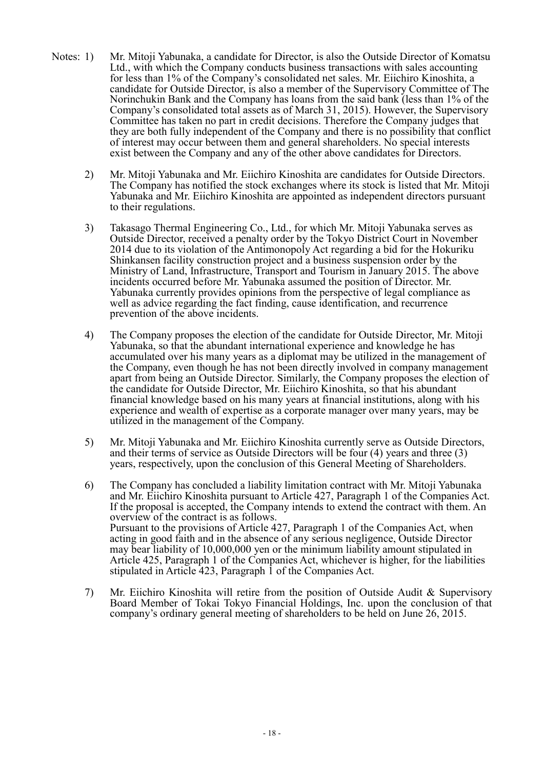- Notes: 1) Mr. Mitoji Yabunaka, a candidate for Director, is also the Outside Director of Komatsu Ltd., with which the Company conducts business transactions with sales accounting for less than 1% of the Company's consolidated net sales. Mr. Eiichiro Kinoshita, a candidate for Outside Director, is also a member of the Supervisory Committee of The Norinchukin Bank and the Company has loans from the said bank (less than 1% of the Company's consolidated total assets as of March 31, 2015). However, the Supervisory Committee has taken no part in credit decisions. Therefore the Company judges that they are both fully independent of the Company and there is no possibility that conflict of interest may occur between them and general shareholders. No special interests exist between the Company and any of the other above candidates for Directors.
	- 2) Mr. Mitoji Yabunaka and Mr. Eiichiro Kinoshita are candidates for Outside Directors. The Company has notified the stock exchanges where its stock is listed that Mr. Mitoji Yabunaka and Mr. Eiichiro Kinoshita are appointed as independent directors pursuant to their regulations.
	- 3) Takasago Thermal Engineering Co., Ltd., for which Mr. Mitoji Yabunaka serves as Outside Director, received a penalty order by the Tokyo District Court in November 2014 due to its violation of the Antimonopoly Act regarding a bid for the Hokuriku Shinkansen facility construction project and a business suspension order by the Ministry of Land, Infrastructure, Transport and Tourism in January 2015. The above incidents occurred before Mr. Yabunaka assumed the position of Director. Mr. Yabunaka currently provides opinions from the perspective of legal compliance as well as advice regarding the fact finding, cause identification, and recurrence prevention of the above incidents.
	- 4) The Company proposes the election of the candidate for Outside Director, Mr. Mitoji Yabunaka, so that the abundant international experience and knowledge he has accumulated over his many years as a diplomat may be utilized in the management of the Company, even though he has not been directly involved in company management apart from being an Outside Director. Similarly, the Company proposes the election of the candidate for Outside Director, Mr. Eiichiro Kinoshita, so that his abundant financial knowledge based on his many years at financial institutions, along with his experience and wealth of expertise as a corporate manager over many years, may be utilized in the management of the Company.
	- 5) Mr. Mitoji Yabunaka and Mr. Eiichiro Kinoshita currently serve as Outside Directors, and their terms of service as Outside Directors will be four (4) years and three (3) years, respectively, upon the conclusion of this General Meeting of Shareholders.
	- 6) The Company has concluded a liability limitation contract with Mr. Mitoji Yabunaka and Mr. Eiichiro Kinoshita pursuant to Article 427, Paragraph 1 of the Companies Act. If the proposal is accepted, the Company intends to extend the contract with them. An overview of the contract is as follows. Pursuant to the provisions of Article 427, Paragraph 1 of the Companies Act, when acting in good faith and in the absence of any serious negligence, Outside Director may bear liability of 10,000,000 yen or the minimum liability amount stipulated in Article 425, Paragraph 1 of the Companies Act, whichever is higher, for the liabilities stipulated in Article 423, Paragraph 1 of the Companies Act.
	- 7) Mr. Eiichiro Kinoshita will retire from the position of Outside Audit & Supervisory Board Member of Tokai Tokyo Financial Holdings, Inc. upon the conclusion of that company's ordinary general meeting of shareholders to be held on June 26, 2015.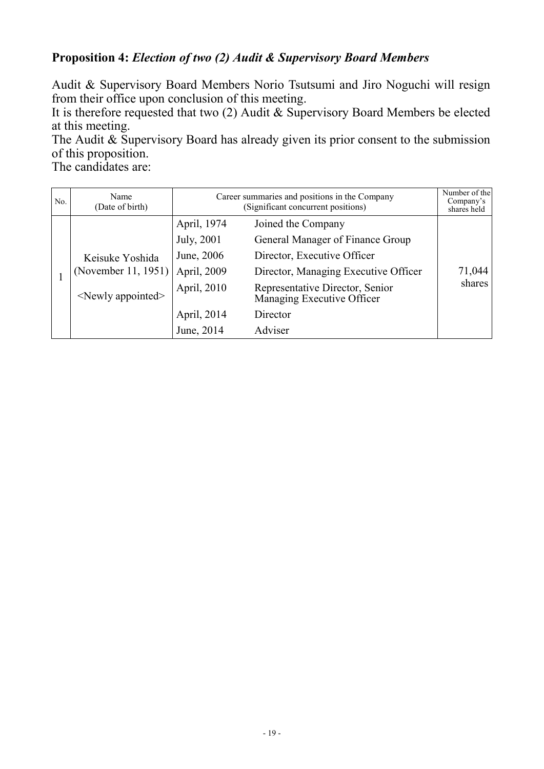### **Proposition 4:** *Election of two (2) Audit & Supervisory Board Members*

Audit & Supervisory Board Members Norio Tsutsumi and Jiro Noguchi will resign from their office upon conclusion of this meeting.

It is therefore requested that two (2) Audit & Supervisory Board Members be elected at this meeting.

The Audit & Supervisory Board has already given its prior consent to the submission of this proposition.

The candidates are:

| No. | Name<br>(Date of birth)                                               | Career summaries and positions in the Company<br>(Significant concurrent positions) |                                                               | Number of the<br>Company's<br>shares held |
|-----|-----------------------------------------------------------------------|-------------------------------------------------------------------------------------|---------------------------------------------------------------|-------------------------------------------|
|     |                                                                       | April, 1974                                                                         | Joined the Company                                            |                                           |
|     |                                                                       | July, 2001                                                                          | General Manager of Finance Group                              |                                           |
|     | Keisuke Yoshida<br>(November 11, 1951)<br>$\le$ Newly appointed $\ge$ | June, 2006                                                                          | Director, Executive Officer                                   |                                           |
|     |                                                                       | April, 2009                                                                         | Director, Managing Executive Officer                          | 71,044                                    |
|     |                                                                       | April, 2010                                                                         | Representative Director, Senior<br>Managing Executive Officer | shares                                    |
|     |                                                                       | April, 2014                                                                         | Director                                                      |                                           |
|     |                                                                       | June, 2014                                                                          | Adviser                                                       |                                           |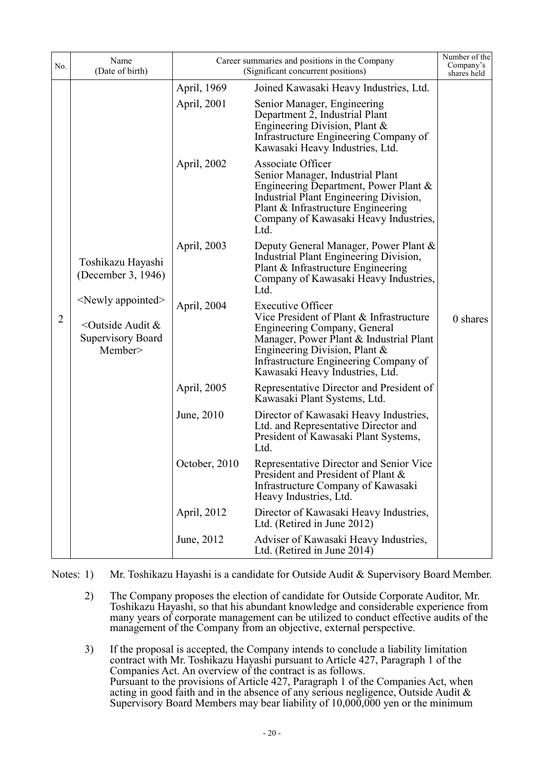| No.            | Name<br>(Date of birth)                                                                                                                                 | Career summaries and positions in the Company<br>(Significant concurrent positions) |                                                                                                                                                                                                                                                              | Number of the<br>Company's<br>shares held |
|----------------|---------------------------------------------------------------------------------------------------------------------------------------------------------|-------------------------------------------------------------------------------------|--------------------------------------------------------------------------------------------------------------------------------------------------------------------------------------------------------------------------------------------------------------|-------------------------------------------|
|                |                                                                                                                                                         | April, 1969                                                                         | Joined Kawasaki Heavy Industries, Ltd.                                                                                                                                                                                                                       |                                           |
| $\overline{2}$ | Toshikazu Hayashi<br>(December 3, 1946)<br><newly appointed=""><br/><outside &<br="" audit=""><b>Supervisory Board</b><br/>Member&gt;</outside></newly> | April, 2001                                                                         | Senior Manager, Engineering<br>Department 2, Industrial Plant<br>Engineering Division, Plant $\&$<br>Infrastructure Engineering Company of<br>Kawasaki Heavy Industries, Ltd.                                                                                |                                           |
|                |                                                                                                                                                         | April, 2002                                                                         | <b>Associate Officer</b><br>Senior Manager, Industrial Plant<br>Engineering Department, Power Plant &<br>Industrial Plant Engineering Division,<br>Plant & Infrastructure Engineering<br>Company of Kawasaki Heavy Industries,<br>Ltd.                       |                                           |
|                |                                                                                                                                                         | April, 2003                                                                         | Deputy General Manager, Power Plant &<br>Industrial Plant Engineering Division,<br>Plant & Infrastructure Engineering<br>Company of Kawasaki Heavy Industries,<br>Ltd.                                                                                       |                                           |
|                |                                                                                                                                                         | April, 2004                                                                         | <b>Executive Officer</b><br>Vice President of Plant & Infrastructure<br>Engineering Company, General<br>Manager, Power Plant & Industrial Plant<br>Engineering Division, Plant &<br>Infrastructure Engineering Company of<br>Kawasaki Heavy Industries, Ltd. | 0 shares                                  |
|                |                                                                                                                                                         | April, 2005                                                                         | Representative Director and President of<br>Kawasaki Plant Systems, Ltd.                                                                                                                                                                                     |                                           |
|                |                                                                                                                                                         | June, 2010                                                                          | Director of Kawasaki Heavy Industries,<br>Ltd. and Representative Director and<br>President of Kawasaki Plant Systems,<br>Ltd.                                                                                                                               |                                           |
|                |                                                                                                                                                         | October, 2010                                                                       | Representative Director and Senior Vice<br>President and President of Plant &<br>Infrastructure Company of Kawasaki<br>Heavy Industries, Ltd.                                                                                                                |                                           |
|                |                                                                                                                                                         | April, 2012                                                                         | Director of Kawasaki Heavy Industries,<br>Ltd. (Retired in June 2012)                                                                                                                                                                                        |                                           |
|                |                                                                                                                                                         | June, 2012                                                                          | Adviser of Kawasaki Heavy Industries,<br>Ltd. (Retired in June 2014)                                                                                                                                                                                         |                                           |

Notes: 1) Mr. Toshikazu Hayashi is a candidate for Outside Audit & Supervisory Board Member.

 2) The Company proposes the election of candidate for Outside Corporate Auditor, Mr. Toshikazu Hayashi, so that his abundant knowledge and considerable experience from many years of corporate management can be utilized to conduct effective audits of the management of the Company from an objective, external perspective.

 3) If the proposal is accepted, the Company intends to conclude a liability limitation contract with Mr. Toshikazu Hayashi pursuant to Article 427, Paragraph 1 of the Companies Act. An overview of the contract is as follows. Pursuant to the provisions of Article 427, Paragraph 1 of the Companies Act, when acting in good faith and in the absence of any serious negligence, Outside Audit & Supervisory Board Members may bear liability of 10,000,000 yen or the minimum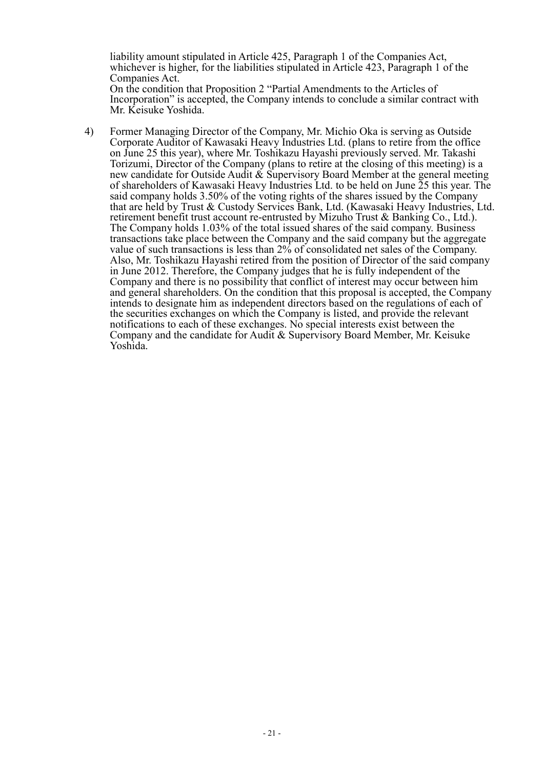liability amount stipulated in Article 425, Paragraph 1 of the Companies Act, whichever is higher, for the liabilities stipulated in Article 423, Paragraph 1 of the Companies Act. On the condition that Proposition 2 "Partial Amendments to the Articles of Incorporation" is accepted, the Company intends to conclude a similar contract with

Mr. Keisuke Yoshida.

Yoshida.

 4) Former Managing Director of the Company, Mr. Michio Oka is serving as Outside Corporate Auditor of Kawasaki Heavy Industries Ltd. (plans to retire from the office on June 25 this year), where Mr. Toshikazu Hayashi previously served. Mr. Takashi Torizumi, Director of the Company (plans to retire at the closing of this meeting) is a new candidate for Outside Audit  $\&$  Supervisory Board Member at the general meeting of shareholders of Kawasaki Heavy Industries Ltd. to be held on June 25 this year. The said company holds 3.50% of the voting rights of the shares issued by the Company that are held by Trust & Custody Services Bank, Ltd. (Kawasaki Heavy Industries, Ltd. retirement benefit trust account re-entrusted by Mizuho Trust & Banking Co., Ltd.). The Company holds 1.03% of the total issued shares of the said company. Business transactions take place between the Company and the said company but the aggregate value of such transactions is less than 2% of consolidated net sales of the Company. Also, Mr. Toshikazu Hayashi retired from the position of Director of the said company in June 2012. Therefore, the Company judges that he is fully independent of the Company and there is no possibility that conflict of interest may occur between him and general shareholders. On the condition that this proposal is accepted, the Company intends to designate him as independent directors based on the regulations of each of the securities exchanges on which the Company is listed, and provide the relevant notifications to each of these exchanges. No special interests exist between the Company and the candidate for Audit & Supervisory Board Member, Mr. Keisuke